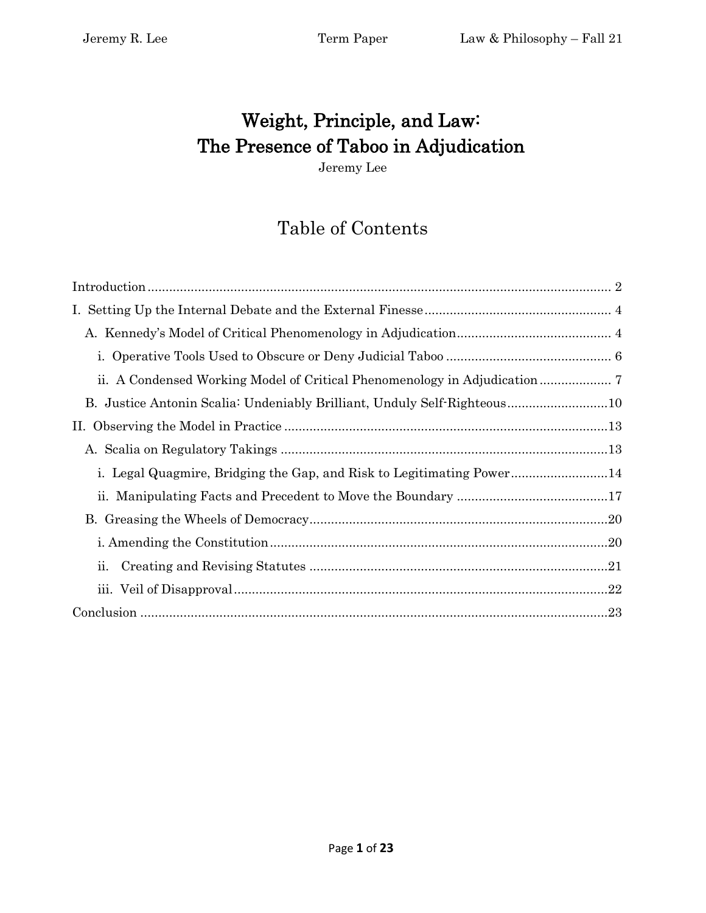# Weight, Principle, and Law: The Presence of Taboo in Adjudication

Jeremy Lee

## Table of Contents

| B. Justice Antonin Scalia: Undeniably Brilliant, Unduly Self-Righteous10 |
|--------------------------------------------------------------------------|
|                                                                          |
|                                                                          |
| i. Legal Quagmire, Bridging the Gap, and Risk to Legitimating Power14    |
|                                                                          |
|                                                                          |
|                                                                          |
| ii.                                                                      |
|                                                                          |
|                                                                          |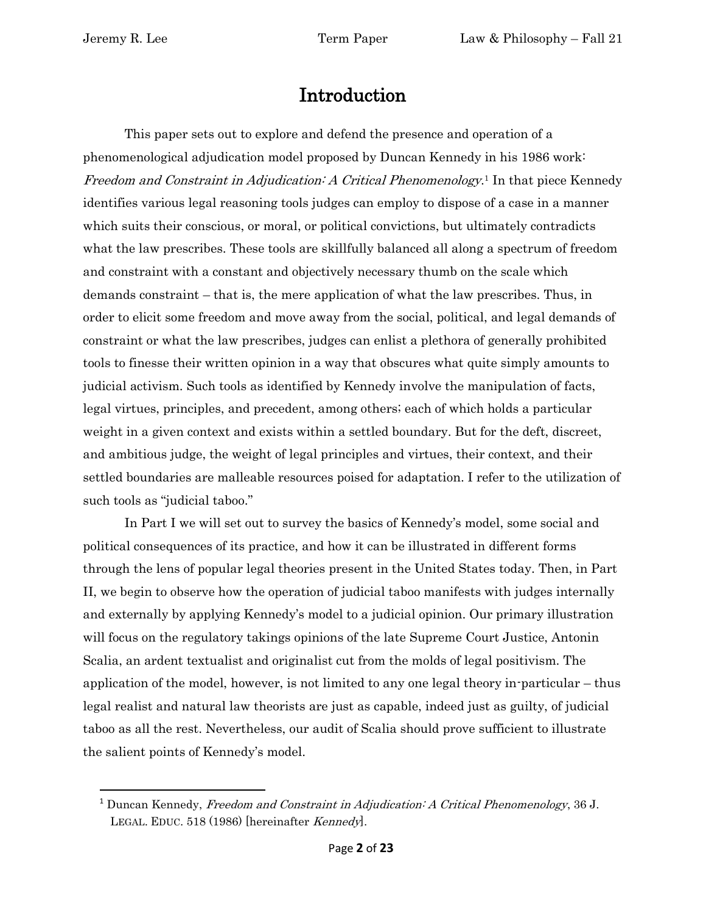## Introduction

<span id="page-1-0"></span>This paper sets out to explore and defend the presence and operation of a phenomenological adjudication model proposed by Duncan Kennedy in his 1986 work: Freedom and Constraint in Adjudication: A Critical Phenomenology.<sup>1</sup> In that piece Kennedy identifies various legal reasoning tools judges can employ to dispose of a case in a manner which suits their conscious, or moral, or political convictions, but ultimately contradicts what the law prescribes. These tools are skillfully balanced all along a spectrum of freedom and constraint with a constant and objectively necessary thumb on the scale which demands constraint – that is, the mere application of what the law prescribes. Thus, in order to elicit some freedom and move away from the social, political, and legal demands of constraint or what the law prescribes, judges can enlist a plethora of generally prohibited tools to finesse their written opinion in a way that obscures what quite simply amounts to judicial activism. Such tools as identified by Kennedy involve the manipulation of facts, legal virtues, principles, and precedent, among others; each of which holds a particular weight in a given context and exists within a settled boundary. But for the deft, discreet, and ambitious judge, the weight of legal principles and virtues, their context, and their settled boundaries are malleable resources poised for adaptation. I refer to the utilization of such tools as "judicial taboo."

In Part I we will set out to survey the basics of Kennedy's model, some social and political consequences of its practice, and how it can be illustrated in different forms through the lens of popular legal theories present in the United States today. Then, in Part II, we begin to observe how the operation of judicial taboo manifests with judges internally and externally by applying Kennedy's model to a judicial opinion. Our primary illustration will focus on the regulatory takings opinions of the late Supreme Court Justice, Antonin Scalia, an ardent textualist and originalist cut from the molds of legal positivism. The application of the model, however, is not limited to any one legal theory in-particular – thus legal realist and natural law theorists are just as capable, indeed just as guilty, of judicial taboo as all the rest. Nevertheless, our audit of Scalia should prove sufficient to illustrate the salient points of Kennedy's model.

<sup>&</sup>lt;sup>1</sup> Duncan Kennedy, Freedom and Constraint in Adjudication: A Critical Phenomenology, 36 J. LEGAL. EDUC. 518 (1986) [hereinafter Kennedy].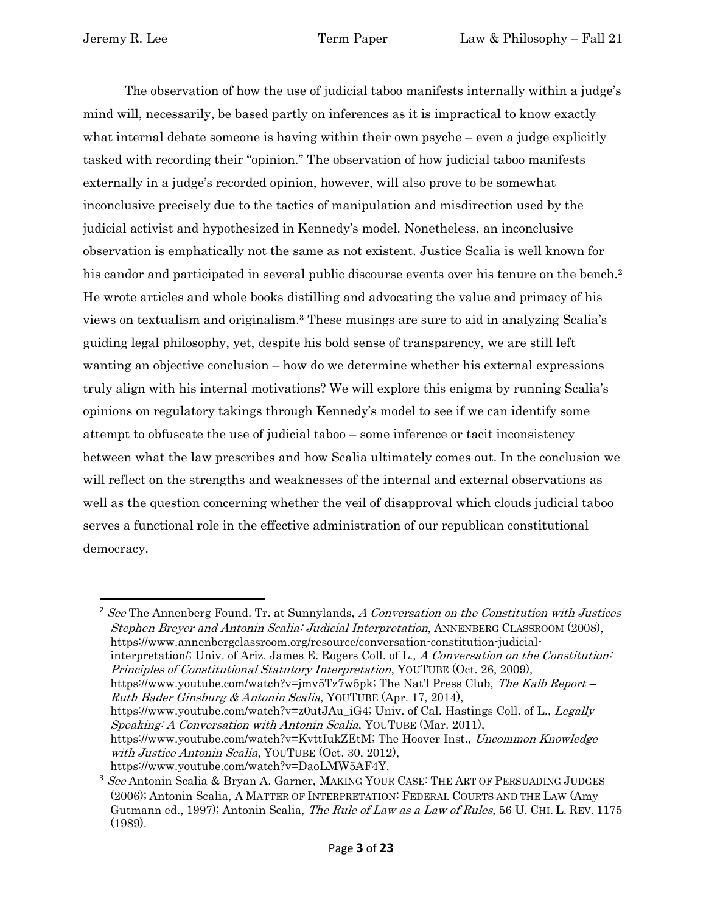The observation of how the use of judicial taboo manifests internally within a judge's mind will, necessarily, be based partly on inferences as it is impractical to know exactly what internal debate someone is having within their own psyche – even a judge explicitly tasked with recording their "opinion." The observation of how judicial taboo manifests externally in a judge's recorded opinion, however, will also prove to be somewhat inconclusive precisely due to the tactics of manipulation and misdirection used by the judicial activist and hypothesized in Kennedy's model. Nonetheless, an inconclusive observation is emphatically not the same as not existent. Justice Scalia is well known for his candor and participated in several public discourse events over his tenure on the bench.<sup>2</sup> He wrote articles and whole books distilling and advocating the value and primacy of his views on textualism and originalism.<sup>3</sup> These musings are sure to aid in analyzing Scalia's guiding legal philosophy, yet, despite his bold sense of transparency, we are still left wanting an objective conclusion – how do we determine whether his external expressions truly align with his internal motivations? We will explore this enigma by running Scalia's opinions on regulatory takings through Kennedy's model to see if we can identify some attempt to obfuscate the use of judicial taboo – some inference or tacit inconsistency between what the law prescribes and how Scalia ultimately comes out. In the conclusion we will reflect on the strengths and weaknesses of the internal and external observations as well as the question concerning whether the veil of disapproval which clouds judicial taboo serves a functional role in the effective administration of our republican constitutional democracy.

 $2$  See The Annenberg Found. Tr. at Sunnylands, A Conversation on the Constitution with Justices Stephen Breyer and Antonin Scalia: Judicial Interpretation, ANNENBERG CLASSROOM (2008), https://www.annenbergclassroom.org/resource/conversation-constitution-judicialinterpretation/; Univ. of Ariz. James E. Rogers Coll. of L., A Conversation on the Constitution: Principles of Constitutional Statutory Interpretation, YOUTUBE (Oct. 26, 2009), https://www.youtube.com/watch?v=jmv5Tz7w5pk; The Nat'l Press Club, The Kalb Report – Ruth Bader Ginsburg & Antonin Scalia, YOUTUBE (Apr. 17, 2014), https://www.youtube.com/watch?v=z0utJAu iG4; Univ. of Cal. Hastings Coll. of L., Legally Speaking: A Conversation with Antonin Scalia, YOUTUBE (Mar. 2011), https://www.youtube.com/watch?v=KvttIukZEtM; The Hoover Inst., *Uncommon Knowledge* with Justice Antonin Scalia, YOUTUBE (Oct. 30, 2012), https://www.youtube.com/watch?v=DaoLMW5AF4Y.

<sup>&</sup>lt;sup>3</sup> See Antonin Scalia & Bryan A. Garner, MAKING YOUR CASE: THE ART OF PERSUADING JUDGES (2006); Antonin Scalia, A MATTER OF INTERPRETATION: FEDERAL COURTS AND THE LAW (Amy Gutmann ed., 1997); Antonin Scalia, *The Rule of Law as a Law of Rules*, 56 U. CHI. L. REV. 1175 (1989).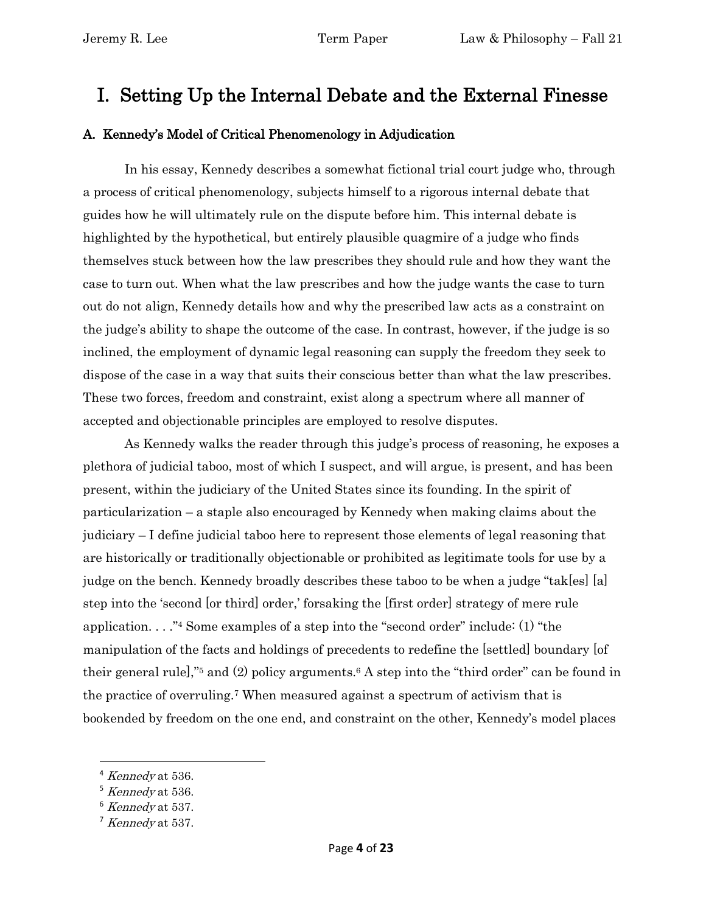## <span id="page-3-0"></span>I. Setting Up the Internal Debate and the External Finesse

### <span id="page-3-1"></span>A. Kennedy's Model of Critical Phenomenology in Adjudication

In his essay, Kennedy describes a somewhat fictional trial court judge who, through a process of critical phenomenology, subjects himself to a rigorous internal debate that guides how he will ultimately rule on the dispute before him. This internal debate is highlighted by the hypothetical, but entirely plausible quagmire of a judge who finds themselves stuck between how the law prescribes they should rule and how they want the case to turn out. When what the law prescribes and how the judge wants the case to turn out do not align, Kennedy details how and why the prescribed law acts as a constraint on the judge's ability to shape the outcome of the case. In contrast, however, if the judge is so inclined, the employment of dynamic legal reasoning can supply the freedom they seek to dispose of the case in a way that suits their conscious better than what the law prescribes. These two forces, freedom and constraint, exist along a spectrum where all manner of accepted and objectionable principles are employed to resolve disputes.

As Kennedy walks the reader through this judge's process of reasoning, he exposes a plethora of judicial taboo, most of which I suspect, and will argue, is present, and has been present, within the judiciary of the United States since its founding. In the spirit of particularization – a staple also encouraged by Kennedy when making claims about the judiciary – I define judicial taboo here to represent those elements of legal reasoning that are historically or traditionally objectionable or prohibited as legitimate tools for use by a judge on the bench. Kennedy broadly describes these taboo to be when a judge "tak[es] [a] step into the 'second [or third] order,' forsaking the [first order] strategy of mere rule application. . . ."<sup>4</sup> Some examples of a step into the "second order" include: (1) "the manipulation of the facts and holdings of precedents to redefine the [settled] boundary [of their general rule],"<sup>5</sup> and (2) policy arguments.<sup>6</sup> A step into the "third order" can be found in the practice of overruling.<sup>7</sup> When measured against a spectrum of activism that is bookended by freedom on the one end, and constraint on the other, Kennedy's model places

 $4$  Kennedy at 536.

 $5$  Kennedy at 536.

<sup>6</sup> Kennedy at 537.

 $7$  Kennedy at 537.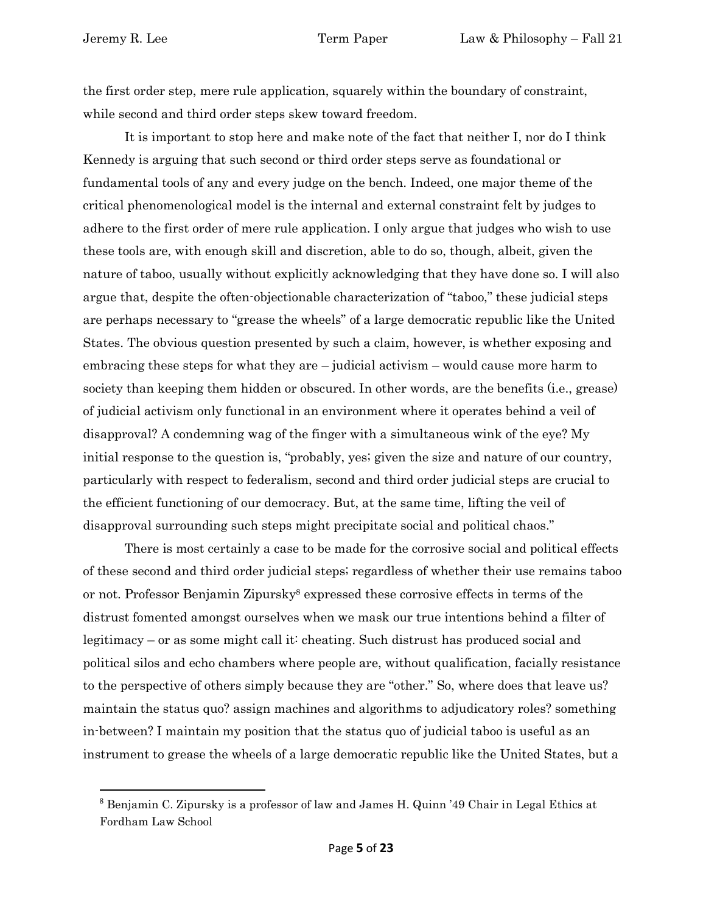the first order step, mere rule application, squarely within the boundary of constraint, while second and third order steps skew toward freedom.

It is important to stop here and make note of the fact that neither I, nor do I think Kennedy is arguing that such second or third order steps serve as foundational or fundamental tools of any and every judge on the bench. Indeed, one major theme of the critical phenomenological model is the internal and external constraint felt by judges to adhere to the first order of mere rule application. I only argue that judges who wish to use these tools are, with enough skill and discretion, able to do so, though, albeit, given the nature of taboo, usually without explicitly acknowledging that they have done so. I will also argue that, despite the often-objectionable characterization of "taboo," these judicial steps are perhaps necessary to "grease the wheels" of a large democratic republic like the United States. The obvious question presented by such a claim, however, is whether exposing and embracing these steps for what they are – judicial activism – would cause more harm to society than keeping them hidden or obscured. In other words, are the benefits (i.e., grease) of judicial activism only functional in an environment where it operates behind a veil of disapproval? A condemning wag of the finger with a simultaneous wink of the eye? My initial response to the question is, "probably, yes; given the size and nature of our country, particularly with respect to federalism, second and third order judicial steps are crucial to the efficient functioning of our democracy. But, at the same time, lifting the veil of disapproval surrounding such steps might precipitate social and political chaos."

There is most certainly a case to be made for the corrosive social and political effects of these second and third order judicial steps; regardless of whether their use remains taboo or not. Professor Benjamin Zipursky<sup>8</sup> expressed these corrosive effects in terms of the distrust fomented amongst ourselves when we mask our true intentions behind a filter of legitimacy – or as some might call it: cheating. Such distrust has produced social and political silos and echo chambers where people are, without qualification, facially resistance to the perspective of others simply because they are "other." So, where does that leave us? maintain the status quo? assign machines and algorithms to adjudicatory roles? something in-between? I maintain my position that the status quo of judicial taboo is useful as an instrument to grease the wheels of a large democratic republic like the United States, but a

<sup>8</sup> Benjamin C. Zipursky is a professor of law and James H. Quinn '49 Chair in Legal Ethics at Fordham Law School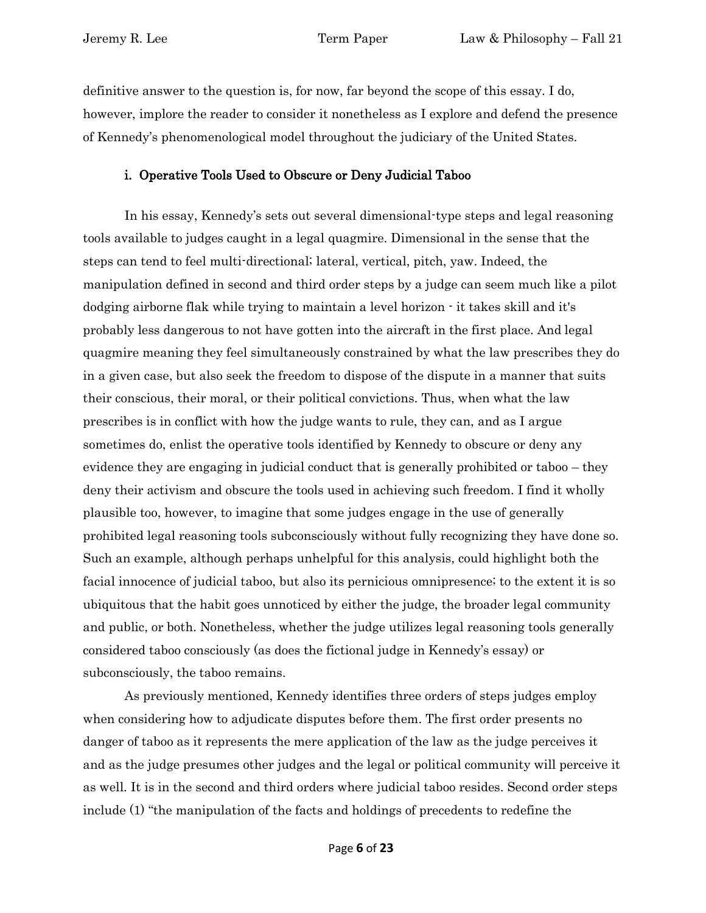definitive answer to the question is, for now, far beyond the scope of this essay. I do, however, implore the reader to consider it nonetheless as I explore and defend the presence of Kennedy's phenomenological model throughout the judiciary of the United States.

### i. Operative Tools Used to Obscure or Deny Judicial Taboo

<span id="page-5-0"></span>In his essay, Kennedy's sets out several dimensional-type steps and legal reasoning tools available to judges caught in a legal quagmire. Dimensional in the sense that the steps can tend to feel multi-directional; lateral, vertical, pitch, yaw. Indeed, the manipulation defined in second and third order steps by a judge can seem much like a pilot dodging airborne flak while trying to maintain a level horizon - it takes skill and it's probably less dangerous to not have gotten into the aircraft in the first place. And legal quagmire meaning they feel simultaneously constrained by what the law prescribes they do in a given case, but also seek the freedom to dispose of the dispute in a manner that suits their conscious, their moral, or their political convictions. Thus, when what the law prescribes is in conflict with how the judge wants to rule, they can, and as I argue sometimes do, enlist the operative tools identified by Kennedy to obscure or deny any evidence they are engaging in judicial conduct that is generally prohibited or taboo – they deny their activism and obscure the tools used in achieving such freedom. I find it wholly plausible too, however, to imagine that some judges engage in the use of generally prohibited legal reasoning tools subconsciously without fully recognizing they have done so. Such an example, although perhaps unhelpful for this analysis, could highlight both the facial innocence of judicial taboo, but also its pernicious omnipresence; to the extent it is so ubiquitous that the habit goes unnoticed by either the judge, the broader legal community and public, or both. Nonetheless, whether the judge utilizes legal reasoning tools generally considered taboo consciously (as does the fictional judge in Kennedy's essay) or subconsciously, the taboo remains.

As previously mentioned, Kennedy identifies three orders of steps judges employ when considering how to adjudicate disputes before them. The first order presents no danger of taboo as it represents the mere application of the law as the judge perceives it and as the judge presumes other judges and the legal or political community will perceive it as well. It is in the second and third orders where judicial taboo resides. Second order steps include (1) "the manipulation of the facts and holdings of precedents to redefine the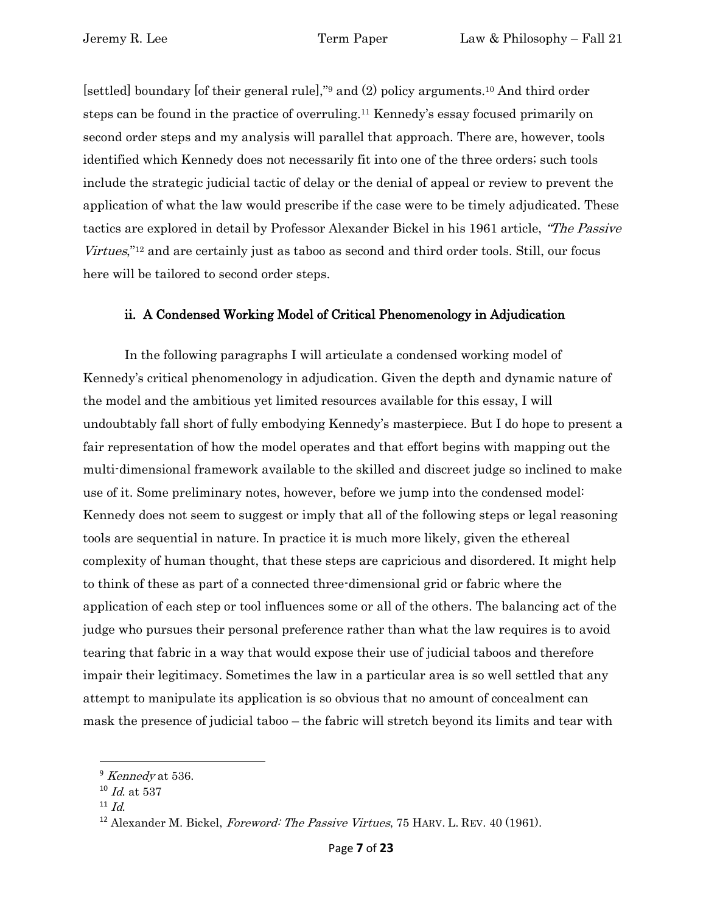[settled] boundary [of their general rule],"<sup>9</sup> and (2) policy arguments.<sup>10</sup> And third order steps can be found in the practice of overruling.<sup>11</sup> Kennedy's essay focused primarily on second order steps and my analysis will parallel that approach. There are, however, tools identified which Kennedy does not necessarily fit into one of the three orders; such tools include the strategic judicial tactic of delay or the denial of appeal or review to prevent the application of what the law would prescribe if the case were to be timely adjudicated. These tactics are explored in detail by Professor Alexander Bickel in his 1961 article, "The Passive Virtues,"<sup>12</sup> and are certainly just as taboo as second and third order tools. Still, our focus here will be tailored to second order steps.

### ii. A Condensed Working Model of Critical Phenomenology in Adjudication

<span id="page-6-0"></span>In the following paragraphs I will articulate a condensed working model of Kennedy's critical phenomenology in adjudication. Given the depth and dynamic nature of the model and the ambitious yet limited resources available for this essay, I will undoubtably fall short of fully embodying Kennedy's masterpiece. But I do hope to present a fair representation of how the model operates and that effort begins with mapping out the multi-dimensional framework available to the skilled and discreet judge so inclined to make use of it. Some preliminary notes, however, before we jump into the condensed model: Kennedy does not seem to suggest or imply that all of the following steps or legal reasoning tools are sequential in nature. In practice it is much more likely, given the ethereal complexity of human thought, that these steps are capricious and disordered. It might help to think of these as part of a connected three-dimensional grid or fabric where the application of each step or tool influences some or all of the others. The balancing act of the judge who pursues their personal preference rather than what the law requires is to avoid tearing that fabric in a way that would expose their use of judicial taboos and therefore impair their legitimacy. Sometimes the law in a particular area is so well settled that any attempt to manipulate its application is so obvious that no amount of concealment can mask the presence of judicial taboo – the fabric will stretch beyond its limits and tear with

 $9$  Kennedy at 536.

 $10$  *Id.* at 537

 $11$  *Id.* 

<sup>&</sup>lt;sup>12</sup> Alexander M. Bickel, *Foreword: The Passive Virtues*, 75 HARV. L. REV. 40 (1961).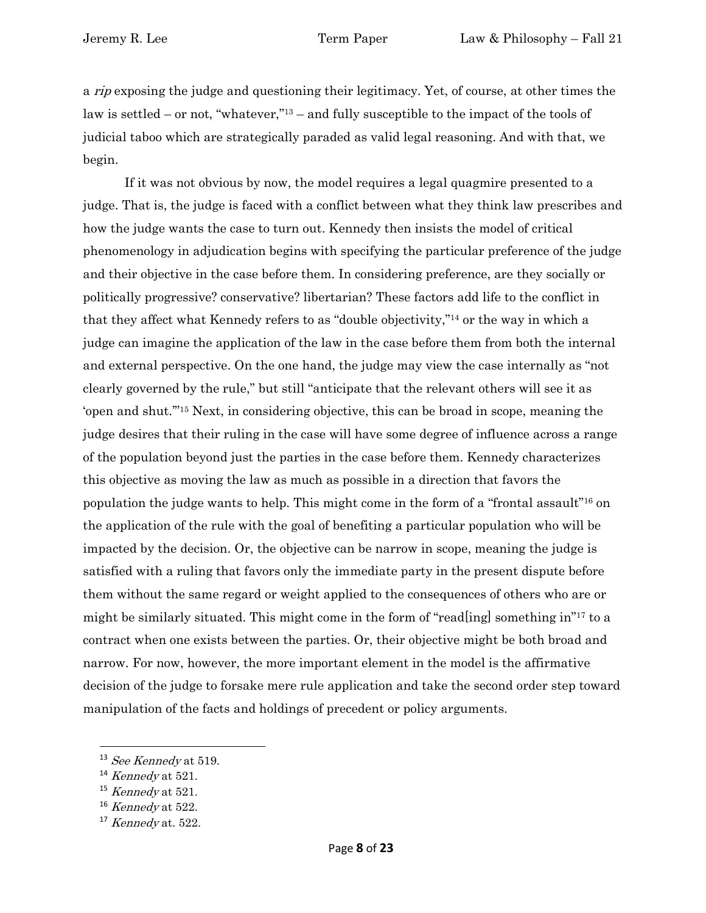a rip exposing the judge and questioning their legitimacy. Yet, of course, at other times the law is settled – or not, "whatever,"<sup>13</sup> – and fully susceptible to the impact of the tools of judicial taboo which are strategically paraded as valid legal reasoning. And with that, we begin.

If it was not obvious by now, the model requires a legal quagmire presented to a judge. That is, the judge is faced with a conflict between what they think law prescribes and how the judge wants the case to turn out. Kennedy then insists the model of critical phenomenology in adjudication begins with specifying the particular preference of the judge and their objective in the case before them. In considering preference, are they socially or politically progressive? conservative? libertarian? These factors add life to the conflict in that they affect what Kennedy refers to as "double objectivity,"<sup>14</sup> or the way in which a judge can imagine the application of the law in the case before them from both the internal and external perspective. On the one hand, the judge may view the case internally as "not clearly governed by the rule," but still "anticipate that the relevant others will see it as 'open and shut.'"<sup>15</sup> Next, in considering objective, this can be broad in scope, meaning the judge desires that their ruling in the case will have some degree of influence across a range of the population beyond just the parties in the case before them. Kennedy characterizes this objective as moving the law as much as possible in a direction that favors the population the judge wants to help. This might come in the form of a "frontal assault"<sup>16</sup> on the application of the rule with the goal of benefiting a particular population who will be impacted by the decision. Or, the objective can be narrow in scope, meaning the judge is satisfied with a ruling that favors only the immediate party in the present dispute before them without the same regard or weight applied to the consequences of others who are or might be similarly situated. This might come in the form of "read[ing] something in"<sup>17</sup> to a contract when one exists between the parties. Or, their objective might be both broad and narrow. For now, however, the more important element in the model is the affirmative decision of the judge to forsake mere rule application and take the second order step toward manipulation of the facts and holdings of precedent or policy arguments.

 $13$  See Kennedy at 519.

 $14$  Kennedy at 521.

 $15$  Kennedy at 521.

 $^{16}$  Kennedy at 522.

 $17$  Kennedy at. 522.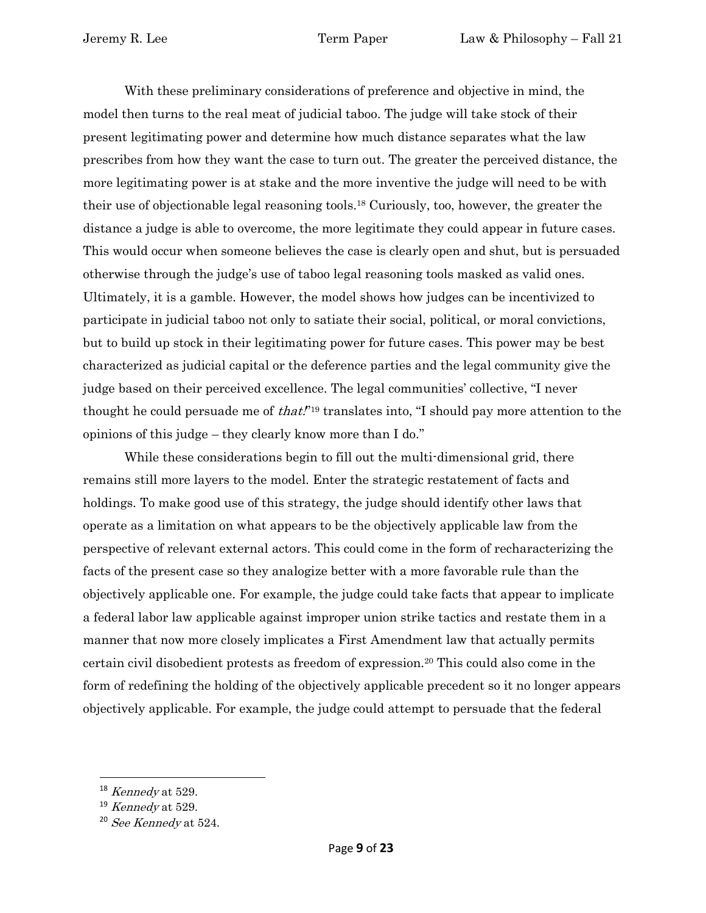With these preliminary considerations of preference and objective in mind, the model then turns to the real meat of judicial taboo. The judge will take stock of their present legitimating power and determine how much distance separates what the law prescribes from how they want the case to turn out. The greater the perceived distance, the more legitimating power is at stake and the more inventive the judge will need to be with their use of objectionable legal reasoning tools.<sup>18</sup> Curiously, too, however, the greater the distance a judge is able to overcome, the more legitimate they could appear in future cases. This would occur when someone believes the case is clearly open and shut, but is persuaded otherwise through the judge's use of taboo legal reasoning tools masked as valid ones. Ultimately, it is a gamble. However, the model shows how judges can be incentivized to participate in judicial taboo not only to satiate their social, political, or moral convictions, but to build up stock in their legitimating power for future cases. This power may be best characterized as judicial capital or the deference parties and the legal community give the judge based on their perceived excellence. The legal communities' collective, "I never thought he could persuade me of *that*."<sup>19</sup> translates into, "I should pay more attention to the opinions of this judge – they clearly know more than I do."

While these considerations begin to fill out the multi-dimensional grid, there remains still more layers to the model. Enter the strategic restatement of facts and holdings. To make good use of this strategy, the judge should identify other laws that operate as a limitation on what appears to be the objectively applicable law from the perspective of relevant external actors. This could come in the form of recharacterizing the facts of the present case so they analogize better with a more favorable rule than the objectively applicable one. For example, the judge could take facts that appear to implicate a federal labor law applicable against improper union strike tactics and restate them in a manner that now more closely implicates a First Amendment law that actually permits certain civil disobedient protests as freedom of expression.<sup>20</sup> This could also come in the form of redefining the holding of the objectively applicable precedent so it no longer appears objectively applicable. For example, the judge could attempt to persuade that the federal

 $18$  Kennedy at 529.

 $19$  Kennedy at 529.

 $20$  See Kennedy at 524.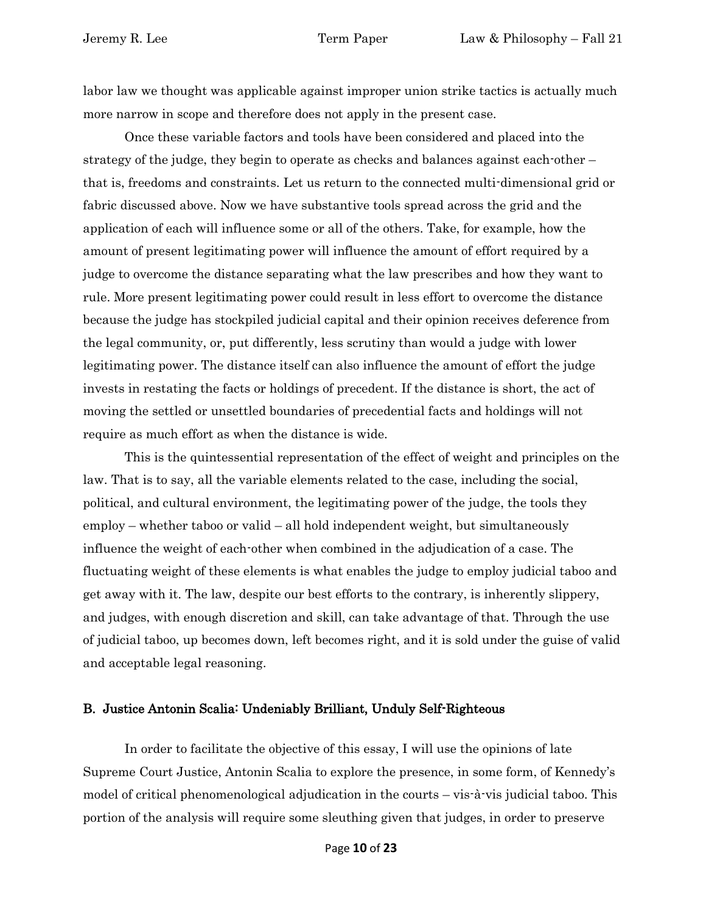labor law we thought was applicable against improper union strike tactics is actually much more narrow in scope and therefore does not apply in the present case.

Once these variable factors and tools have been considered and placed into the strategy of the judge, they begin to operate as checks and balances against each-other – that is, freedoms and constraints. Let us return to the connected multi-dimensional grid or fabric discussed above. Now we have substantive tools spread across the grid and the application of each will influence some or all of the others. Take, for example, how the amount of present legitimating power will influence the amount of effort required by a judge to overcome the distance separating what the law prescribes and how they want to rule. More present legitimating power could result in less effort to overcome the distance because the judge has stockpiled judicial capital and their opinion receives deference from the legal community, or, put differently, less scrutiny than would a judge with lower legitimating power. The distance itself can also influence the amount of effort the judge invests in restating the facts or holdings of precedent. If the distance is short, the act of moving the settled or unsettled boundaries of precedential facts and holdings will not require as much effort as when the distance is wide.

This is the quintessential representation of the effect of weight and principles on the law. That is to say, all the variable elements related to the case, including the social, political, and cultural environment, the legitimating power of the judge, the tools they employ – whether taboo or valid – all hold independent weight, but simultaneously influence the weight of each-other when combined in the adjudication of a case. The fluctuating weight of these elements is what enables the judge to employ judicial taboo and get away with it. The law, despite our best efforts to the contrary, is inherently slippery, and judges, with enough discretion and skill, can take advantage of that. Through the use of judicial taboo, up becomes down, left becomes right, and it is sold under the guise of valid and acceptable legal reasoning.

#### <span id="page-9-0"></span>B. Justice Antonin Scalia: Undeniably Brilliant, Unduly Self-Righteous

In order to facilitate the objective of this essay, I will use the opinions of late Supreme Court Justice, Antonin Scalia to explore the presence, in some form, of Kennedy's model of critical phenomenological adjudication in the courts – vis-à-vis judicial taboo. This portion of the analysis will require some sleuthing given that judges, in order to preserve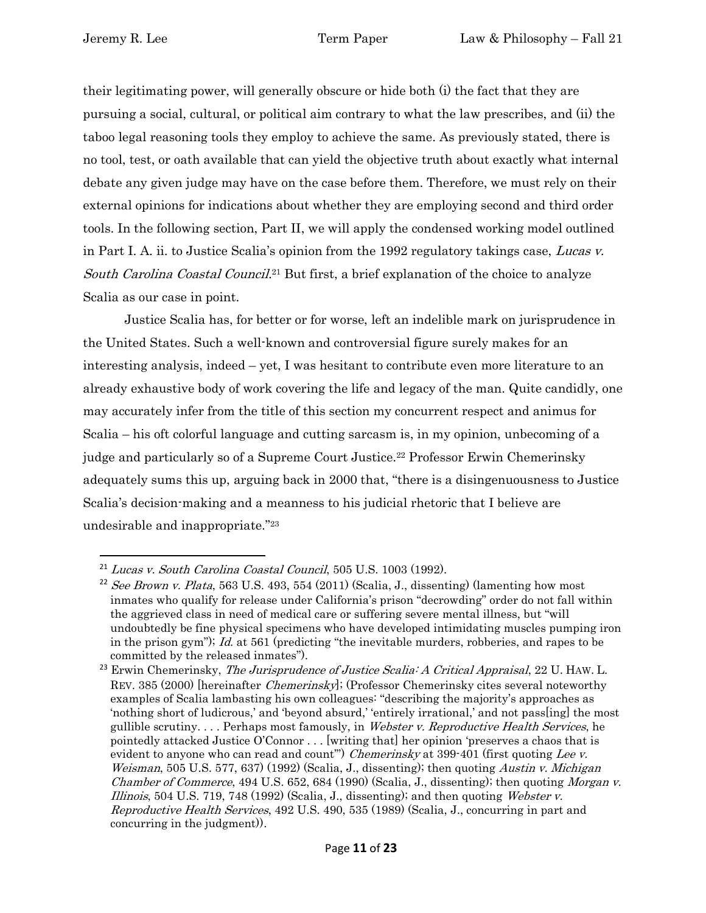their legitimating power, will generally obscure or hide both (i) the fact that they are pursuing a social, cultural, or political aim contrary to what the law prescribes, and (ii) the taboo legal reasoning tools they employ to achieve the same. As previously stated, there is no tool, test, or oath available that can yield the objective truth about exactly what internal debate any given judge may have on the case before them. Therefore, we must rely on their external opinions for indications about whether they are employing second and third order tools. In the following section, Part II, we will apply the condensed working model outlined in Part I. A. ii. to Justice Scalia's opinion from the 1992 regulatory takings case, Lucas v. South Carolina Coastal Council.<sup>21</sup> But first, a brief explanation of the choice to analyze Scalia as our case in point.

Justice Scalia has, for better or for worse, left an indelible mark on jurisprudence in the United States. Such a well-known and controversial figure surely makes for an interesting analysis, indeed – yet, I was hesitant to contribute even more literature to an already exhaustive body of work covering the life and legacy of the man. Quite candidly, one may accurately infer from the title of this section my concurrent respect and animus for Scalia – his oft colorful language and cutting sarcasm is, in my opinion, unbecoming of a judge and particularly so of a Supreme Court Justice.<sup>22</sup> Professor Erwin Chemerinsky adequately sums this up, arguing back in 2000 that, "there is a disingenuousness to Justice Scalia's decision-making and a meanness to his judicial rhetoric that I believe are undesirable and inappropriate."<sup>23</sup>

<sup>21</sup> Lucas v. South Carolina Coastal Council, 505 U.S. 1003 (1992).

<sup>&</sup>lt;sup>22</sup> See Brown v. Plata, 563 U.S. 493, 554 (2011) (Scalia, J., dissenting) (lamenting how most inmates who qualify for release under California's prison "decrowding" order do not fall within the aggrieved class in need of medical care or suffering severe mental illness, but "will undoubtedly be fine physical specimens who have developed intimidating muscles pumping iron in the prison gym"); Id. at 561 (predicting "the inevitable murders, robberies, and rapes to be committed by the released inmates").

 $^{23}$  Erwin Chemerinsky, The Jurisprudence of Justice Scalia: A Critical Appraisal, 22 U. HAW. L. REV. 385 (2000) [hereinafter Chemerinsky]; (Professor Chemerinsky cites several noteworthy examples of Scalia lambasting his own colleagues: "describing the majority's approaches as 'nothing short of ludicrous,' and 'beyond absurd,' 'entirely irrational,' and not pass[ing] the most gullible scrutiny.... Perhaps most famously, in *Webster v. Reproductive Health Services*, he pointedly attacked Justice O'Connor . . . [writing that] her opinion 'preserves a chaos that is evident to anyone who can read and count") Chemerinsky at 399-401 (first quoting Lee v. Weisman, 505 U.S. 577, 637) (1992) (Scalia, J., dissenting); then quoting Austin v. Michigan *Chamber of Commerce*, 494 U.S. 652, 684 (1990) (Scalia, J., dissenting); then quoting *Morgan v. Illinois*, 504 U.S. 719, 748 (1992) (Scalia, J., dissenting); and then quoting *Webster v.* Reproductive Health Services, 492 U.S. 490, 535 (1989) (Scalia, J., concurring in part and concurring in the judgment)).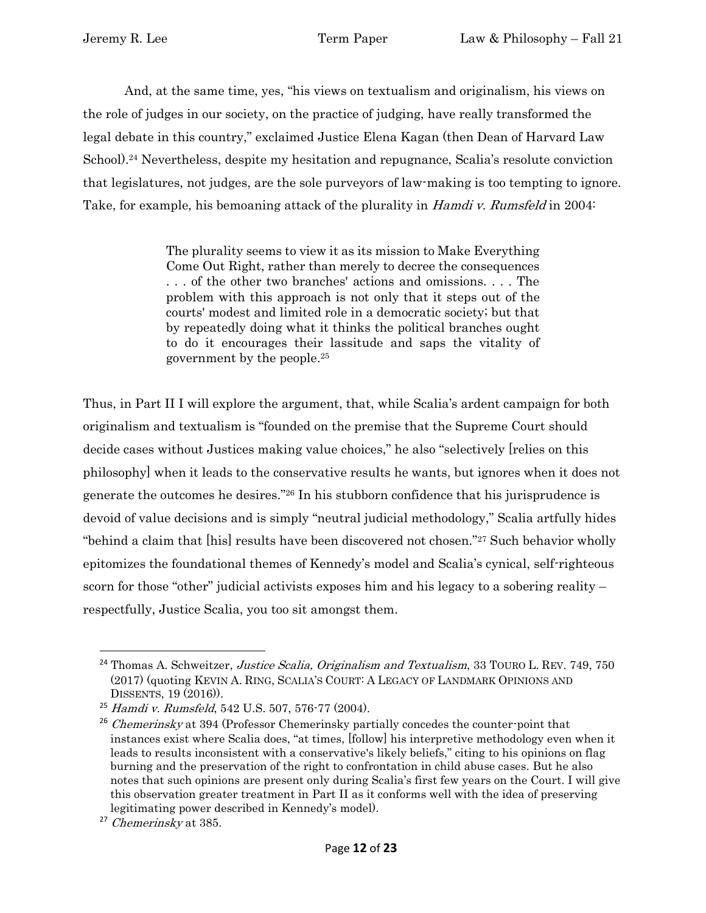And, at the same time, yes, "his views on textualism and originalism, his views on the role of judges in our society, on the practice of judging, have really transformed the legal debate in this country," exclaimed Justice Elena Kagan (then Dean of Harvard Law School).<sup>24</sup> Nevertheless, despite my hesitation and repugnance, Scalia's resolute conviction that legislatures, not judges, are the sole purveyors of law-making is too tempting to ignore. Take, for example, his bemoaning attack of the plurality in *Hamdi v. Rumsfeld* in 2004:

> The plurality seems to view it as its mission to Make Everything Come Out Right, rather than merely to decree the consequences . . . of the other two branches' actions and omissions. . . . The problem with this approach is not only that it steps out of the courts' modest and limited role in a democratic society; but that by repeatedly doing what it thinks the political branches ought to do it encourages their lassitude and saps the vitality of government by the people.<sup>25</sup>

Thus, in Part II I will explore the argument, that, while Scalia's ardent campaign for both originalism and textualism is "founded on the premise that the Supreme Court should decide cases without Justices making value choices," he also "selectively [relies on this philosophy] when it leads to the conservative results he wants, but ignores when it does not generate the outcomes he desires."<sup>26</sup> In his stubborn confidence that his jurisprudence is devoid of value decisions and is simply "neutral judicial methodology," Scalia artfully hides "behind a claim that [his] results have been discovered not chosen."<sup>27</sup> Such behavior wholly epitomizes the foundational themes of Kennedy's model and Scalia's cynical, self-righteous scorn for those "other" judicial activists exposes him and his legacy to a sobering reality – respectfully, Justice Scalia, you too sit amongst them.

<sup>&</sup>lt;sup>24</sup> Thomas A. Schweitzer, Justice Scalia, Originalism and Textualism, 33 TOURO L. REV. 749, 750 (2017) (quoting KEVIN A. RING, SCALIA'S COURT: A LEGACY OF LANDMARK OPINIONS AND DISSENTS, 19 (2016)).

<sup>25</sup> Hamdi v. Rumsfeld, 542 U.S. 507, 576-77 (2004).

 $26$  Chemerinsky at 394 (Professor Chemerinsky partially concedes the counter-point that instances exist where Scalia does, "at times, [follow] his interpretive methodology even when it leads to results inconsistent with a conservative's likely beliefs," citing to his opinions on flag burning and the preservation of the right to confrontation in child abuse cases. But he also notes that such opinions are present only during Scalia's first few years on the Court. I will give this observation greater treatment in Part II as it conforms well with the idea of preserving legitimating power described in Kennedy's model).

<sup>27</sup> Chemerinsky at 385.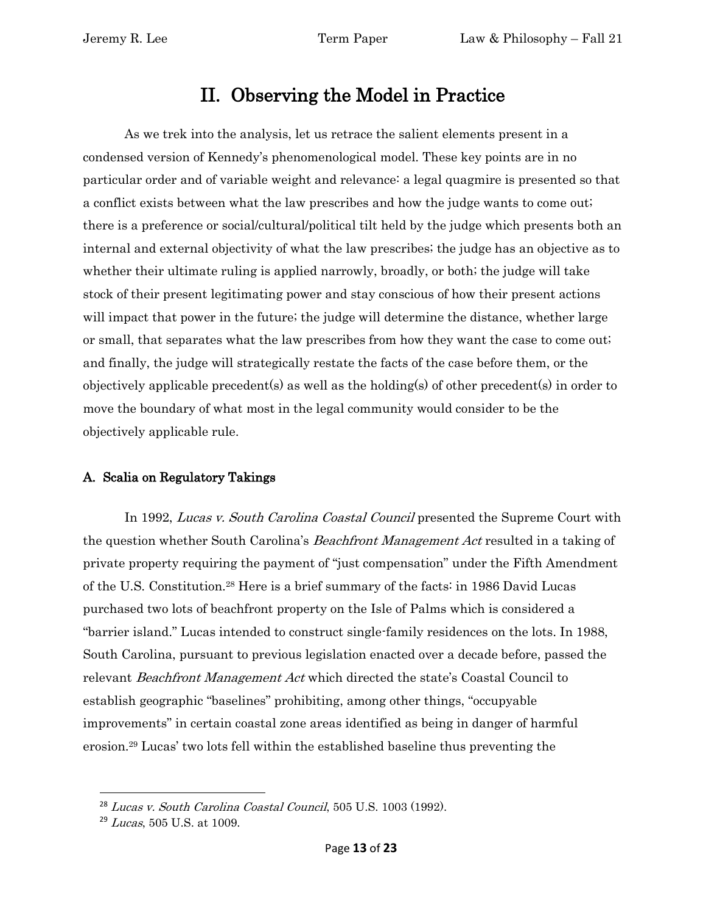## II. Observing the Model in Practice

<span id="page-12-0"></span>As we trek into the analysis, let us retrace the salient elements present in a condensed version of Kennedy's phenomenological model. These key points are in no particular order and of variable weight and relevance: a legal quagmire is presented so that a conflict exists between what the law prescribes and how the judge wants to come out; there is a preference or social/cultural/political tilt held by the judge which presents both an internal and external objectivity of what the law prescribes; the judge has an objective as to whether their ultimate ruling is applied narrowly, broadly, or both; the judge will take stock of their present legitimating power and stay conscious of how their present actions will impact that power in the future; the judge will determine the distance, whether large or small, that separates what the law prescribes from how they want the case to come out; and finally, the judge will strategically restate the facts of the case before them, or the objectively applicable precedent(s) as well as the holding(s) of other precedent(s) in order to move the boundary of what most in the legal community would consider to be the objectively applicable rule.

### <span id="page-12-1"></span>A. Scalia on Regulatory Takings

In 1992, Lucas v. South Carolina Coastal Council presented the Supreme Court with the question whether South Carolina's Beachfront Management Act resulted in a taking of private property requiring the payment of "just compensation" under the Fifth Amendment of the U.S. Constitution.<sup>28</sup> Here is a brief summary of the facts: in 1986 David Lucas purchased two lots of beachfront property on the Isle of Palms which is considered a "barrier island." Lucas intended to construct single-family residences on the lots. In 1988, South Carolina, pursuant to previous legislation enacted over a decade before, passed the relevant *Beachfront Management Act* which directed the state's Coastal Council to establish geographic "baselines" prohibiting, among other things, "occupyable improvements" in certain coastal zone areas identified as being in danger of harmful erosion.<sup>29</sup> Lucas' two lots fell within the established baseline thus preventing the

<sup>28</sup> Lucas v. South Carolina Coastal Council, 505 U.S. 1003 (1992).

 $29$  *Lucas*, 505 U.S. at 1009.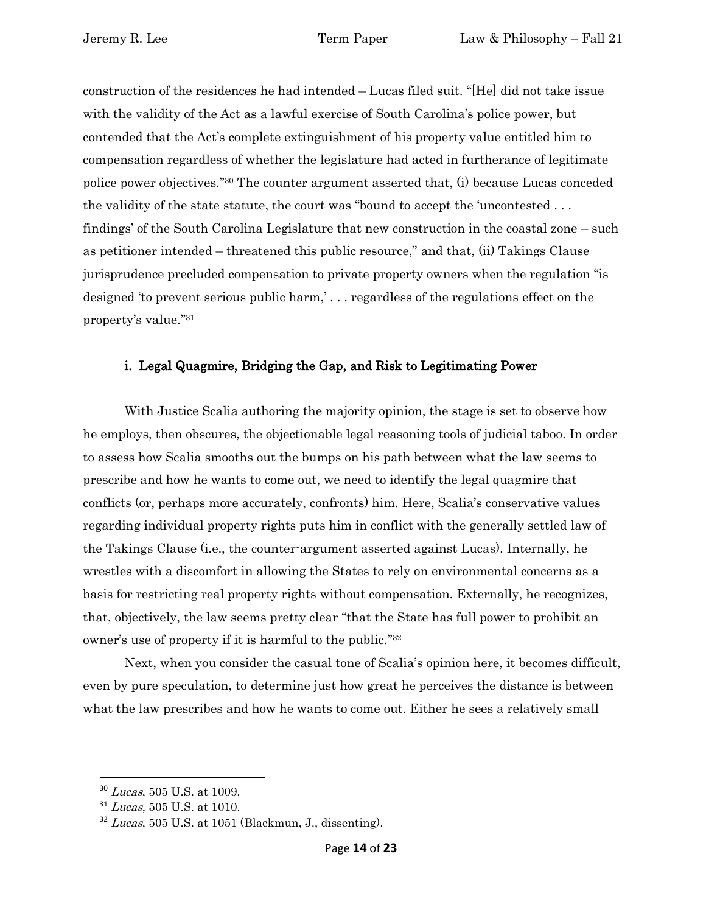construction of the residences he had intended – Lucas filed suit. "[He] did not take issue with the validity of the Act as a lawful exercise of South Carolina's police power, but contended that the Act's complete extinguishment of his property value entitled him to compensation regardless of whether the legislature had acted in furtherance of legitimate police power objectives."<sup>30</sup> The counter argument asserted that, (i) because Lucas conceded the validity of the state statute, the court was "bound to accept the 'uncontested . . . findings' of the South Carolina Legislature that new construction in the coastal zone – such as petitioner intended – threatened this public resource," and that, (ii) Takings Clause jurisprudence precluded compensation to private property owners when the regulation "is designed 'to prevent serious public harm,' . . . regardless of the regulations effect on the property's value."<sup>31</sup>

### <span id="page-13-0"></span>i. Legal Quagmire, Bridging the Gap, and Risk to Legitimating Power

With Justice Scalia authoring the majority opinion, the stage is set to observe how he employs, then obscures, the objectionable legal reasoning tools of judicial taboo. In order to assess how Scalia smooths out the bumps on his path between what the law seems to prescribe and how he wants to come out, we need to identify the legal quagmire that conflicts (or, perhaps more accurately, confronts) him. Here, Scalia's conservative values regarding individual property rights puts him in conflict with the generally settled law of the Takings Clause (i.e., the counter-argument asserted against Lucas). Internally, he wrestles with a discomfort in allowing the States to rely on environmental concerns as a basis for restricting real property rights without compensation. Externally, he recognizes, that, objectively, the law seems pretty clear "that the State has full power to prohibit an owner's use of property if it is harmful to the public."<sup>32</sup>

Next, when you consider the casual tone of Scalia's opinion here, it becomes difficult, even by pure speculation, to determine just how great he perceives the distance is between what the law prescribes and how he wants to come out. Either he sees a relatively small

<sup>&</sup>lt;sup>30</sup> Lucas, 505 U.S. at 1009.

 $31$  Lucas, 505 U.S. at 1010.

 $32$  Lucas, 505 U.S. at 1051 (Blackmun, J., dissenting).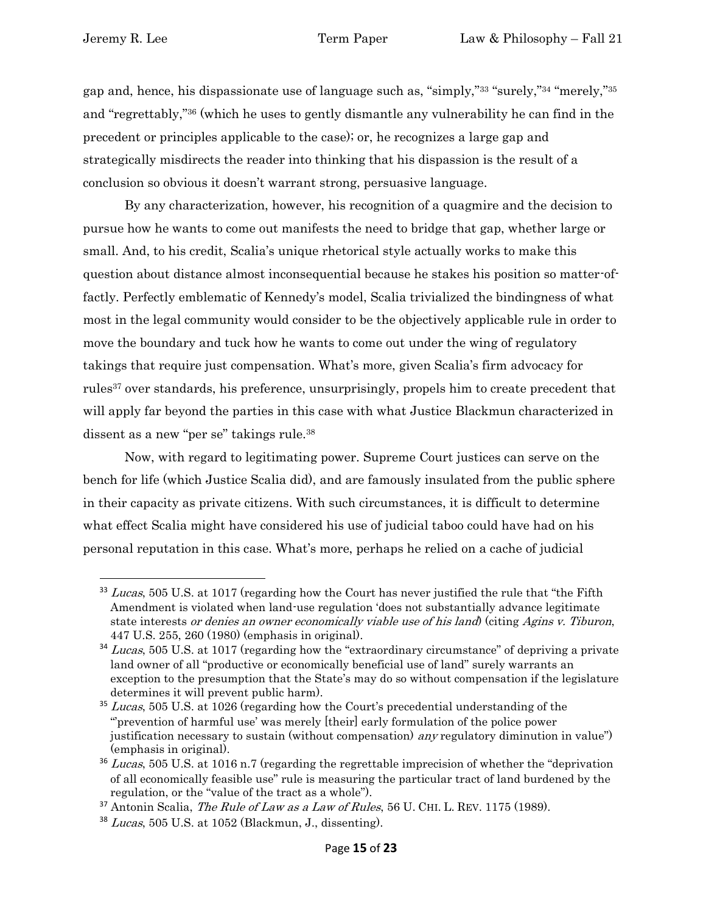gap and, hence, his dispassionate use of language such as, "simply,"<sup>33</sup> "surely,"<sup>34</sup> "merely,"<sup>35</sup> and "regrettably,"<sup>36</sup> (which he uses to gently dismantle any vulnerability he can find in the precedent or principles applicable to the case); or, he recognizes a large gap and strategically misdirects the reader into thinking that his dispassion is the result of a conclusion so obvious it doesn't warrant strong, persuasive language.

By any characterization, however, his recognition of a quagmire and the decision to pursue how he wants to come out manifests the need to bridge that gap, whether large or small. And, to his credit, Scalia's unique rhetorical style actually works to make this question about distance almost inconsequential because he stakes his position so matter-offactly. Perfectly emblematic of Kennedy's model, Scalia trivialized the bindingness of what most in the legal community would consider to be the objectively applicable rule in order to move the boundary and tuck how he wants to come out under the wing of regulatory takings that require just compensation. What's more, given Scalia's firm advocacy for rules<sup>37</sup> over standards, his preference, unsurprisingly, propels him to create precedent that will apply far beyond the parties in this case with what Justice Blackmun characterized in dissent as a new "per se" takings rule.<sup>38</sup>

Now, with regard to legitimating power. Supreme Court justices can serve on the bench for life (which Justice Scalia did), and are famously insulated from the public sphere in their capacity as private citizens. With such circumstances, it is difficult to determine what effect Scalia might have considered his use of judicial taboo could have had on his personal reputation in this case. What's more, perhaps he relied on a cache of judicial

 $33$  Lucas, 505 U.S. at 1017 (regarding how the Court has never justified the rule that "the Fifth" Amendment is violated when land-use regulation 'does not substantially advance legitimate state interests or denies an owner economically viable use of his land) (citing Agins v. Tiburon, 447 U.S. 255, 260 (1980) (emphasis in original).

<sup>&</sup>lt;sup>34</sup> Lucas, 505 U.S. at 1017 (regarding how the "extraordinary circumstance" of depriving a private land owner of all "productive or economically beneficial use of land" surely warrants an exception to the presumption that the State's may do so without compensation if the legislature determines it will prevent public harm).

<sup>&</sup>lt;sup>35</sup> Lucas, 505 U.S. at 1026 (regarding how the Court's precedential understanding of the "'prevention of harmful use' was merely [their] early formulation of the police power justification necessary to sustain (without compensation) *any* regulatory diminution in value") (emphasis in original).

<sup>&</sup>lt;sup>36</sup> Lucas, 505 U.S. at 1016 n.7 (regarding the regrettable imprecision of whether the "deprivation of all economically feasible use" rule is measuring the particular tract of land burdened by the regulation, or the "value of the tract as a whole").

 $37$  Antonin Scalia, *The Rule of Law as a Law of Rules*, 56 U. CHI. L. REV. 1175 (1989).

 $38$  *Lucas*, 505 U.S. at 1052 (Blackmun, J., dissenting).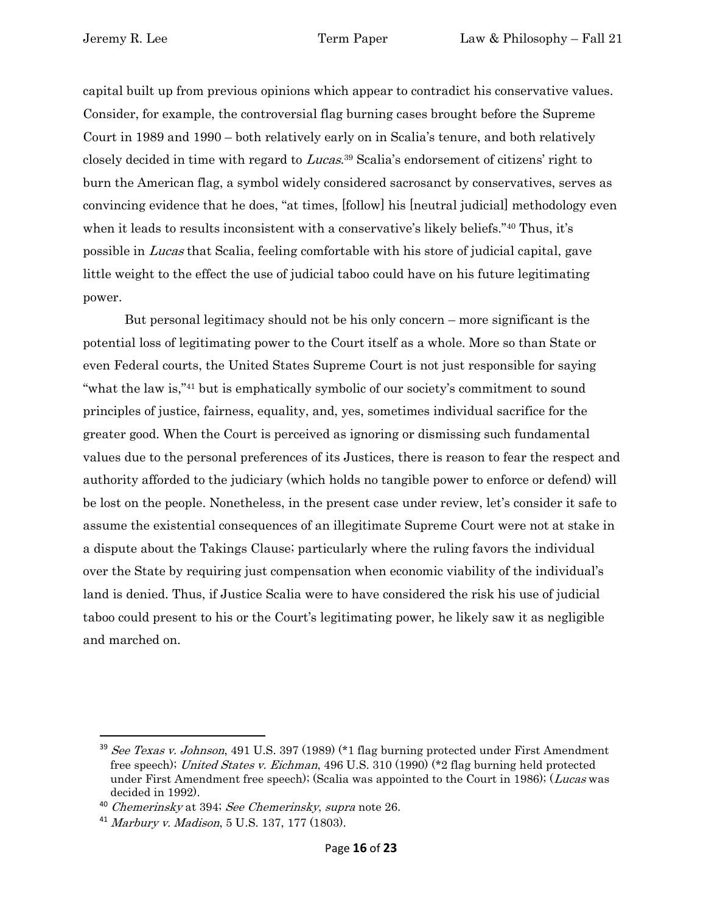capital built up from previous opinions which appear to contradict his conservative values. Consider, for example, the controversial flag burning cases brought before the Supreme Court in 1989 and 1990 – both relatively early on in Scalia's tenure, and both relatively closely decided in time with regard to Lucas.<sup>39</sup> Scalia's endorsement of citizens' right to burn the American flag, a symbol widely considered sacrosanct by conservatives, serves as convincing evidence that he does, "at times, [follow] his [neutral judicial] methodology even when it leads to results inconsistent with a conservative's likely beliefs."<sup>40</sup> Thus, it's possible in Lucas that Scalia, feeling comfortable with his store of judicial capital, gave little weight to the effect the use of judicial taboo could have on his future legitimating power.

But personal legitimacy should not be his only concern – more significant is the potential loss of legitimating power to the Court itself as a whole. More so than State or even Federal courts, the United States Supreme Court is not just responsible for saying "what the law is,"<sup>41</sup> but is emphatically symbolic of our society's commitment to sound principles of justice, fairness, equality, and, yes, sometimes individual sacrifice for the greater good. When the Court is perceived as ignoring or dismissing such fundamental values due to the personal preferences of its Justices, there is reason to fear the respect and authority afforded to the judiciary (which holds no tangible power to enforce or defend) will be lost on the people. Nonetheless, in the present case under review, let's consider it safe to assume the existential consequences of an illegitimate Supreme Court were not at stake in a dispute about the Takings Clause; particularly where the ruling favors the individual over the State by requiring just compensation when economic viability of the individual's land is denied. Thus, if Justice Scalia were to have considered the risk his use of judicial taboo could present to his or the Court's legitimating power, he likely saw it as negligible and marched on.

<sup>&</sup>lt;sup>39</sup> See Texas v. Johnson, 491 U.S. 397 (1989) (\*1 flag burning protected under First Amendment free speech); United States v. Eichman, 496 U.S. 310 (1990) (\*2 flag burning held protected under First Amendment free speech); (Scalia was appointed to the Court in 1986); (Lucas was decided in 1992).

<sup>40</sup> Chemerinsky at 394; See Chemerinsky, supra note 26.

<sup>41</sup> Marbury v. Madison, 5 U.S. 137, 177 (1803).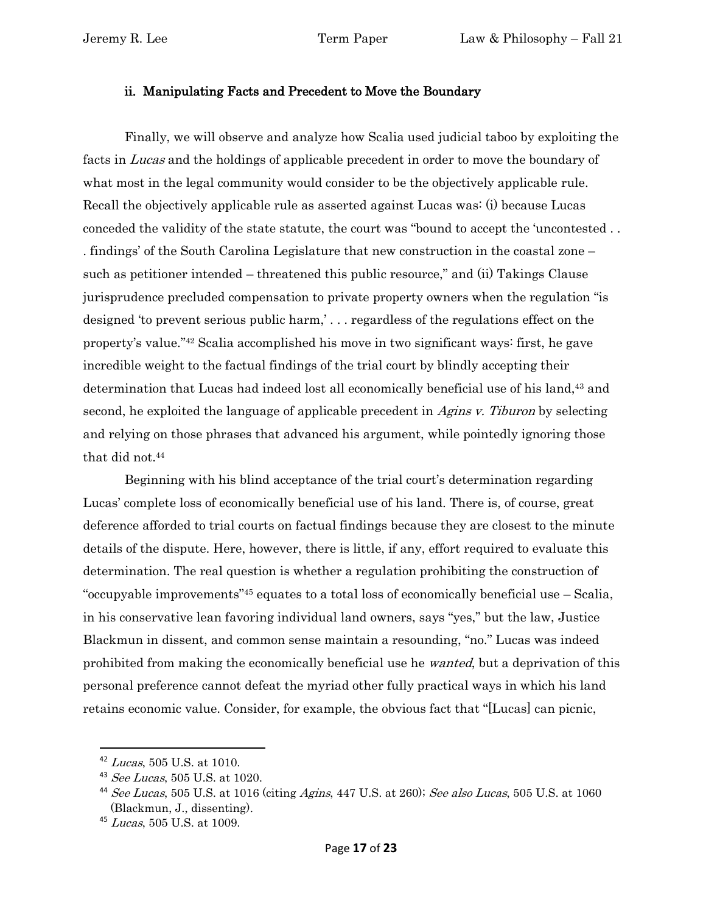#### <span id="page-16-0"></span>ii. Manipulating Facts and Precedent to Move the Boundary

Finally, we will observe and analyze how Scalia used judicial taboo by exploiting the facts in Lucas and the holdings of applicable precedent in order to move the boundary of what most in the legal community would consider to be the objectively applicable rule. Recall the objectively applicable rule as asserted against Lucas was: (i) because Lucas conceded the validity of the state statute, the court was "bound to accept the 'uncontested . . . findings' of the South Carolina Legislature that new construction in the coastal zone – such as petitioner intended – threatened this public resource," and (ii) Takings Clause jurisprudence precluded compensation to private property owners when the regulation "is designed 'to prevent serious public harm,' . . . regardless of the regulations effect on the property's value."<sup>42</sup> Scalia accomplished his move in two significant ways: first, he gave incredible weight to the factual findings of the trial court by blindly accepting their determination that Lucas had indeed lost all economically beneficial use of his land,<sup>43</sup> and second, he exploited the language of applicable precedent in Agins v. Tiburon by selecting and relying on those phrases that advanced his argument, while pointedly ignoring those that did not.<sup>44</sup>

Beginning with his blind acceptance of the trial court's determination regarding Lucas' complete loss of economically beneficial use of his land. There is, of course, great deference afforded to trial courts on factual findings because they are closest to the minute details of the dispute. Here, however, there is little, if any, effort required to evaluate this determination. The real question is whether a regulation prohibiting the construction of "occupyable improvements"<sup>45</sup> equates to a total loss of economically beneficial use – Scalia, in his conservative lean favoring individual land owners, says "yes," but the law, Justice Blackmun in dissent, and common sense maintain a resounding, "no." Lucas was indeed prohibited from making the economically beneficial use he wanted, but a deprivation of this personal preference cannot defeat the myriad other fully practical ways in which his land retains economic value. Consider, for example, the obvious fact that "[Lucas] can picnic,

<sup>42</sup> Lucas, 505 U.S. at 1010.

<sup>43</sup> See Lucas, 505 U.S. at 1020.

<sup>44</sup> See Lucas, 505 U.S. at 1016 (citing Agins, 447 U.S. at 260); See also Lucas, 505 U.S. at 1060 (Blackmun, J., dissenting).

<sup>&</sup>lt;sup>45</sup> Lucas, 505 U.S. at 1009.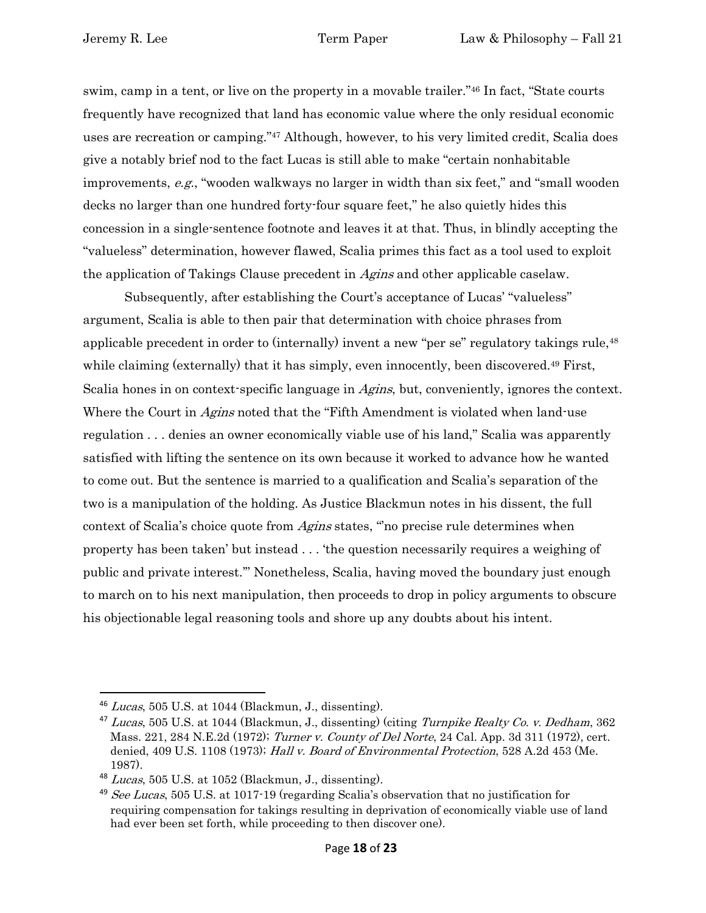swim, camp in a tent, or live on the property in a movable trailer."<sup>46</sup> In fact, "State courts frequently have recognized that land has economic value where the only residual economic uses are recreation or camping."<sup>47</sup> Although, however, to his very limited credit, Scalia does give a notably brief nod to the fact Lucas is still able to make "certain nonhabitable improvements, e.g., "wooden walkways no larger in width than six feet," and "small wooden decks no larger than one hundred forty-four square feet," he also quietly hides this concession in a single-sentence footnote and leaves it at that. Thus, in blindly accepting the "valueless" determination, however flawed, Scalia primes this fact as a tool used to exploit the application of Takings Clause precedent in Agins and other applicable caselaw.

Subsequently, after establishing the Court's acceptance of Lucas' "valueless" argument, Scalia is able to then pair that determination with choice phrases from applicable precedent in order to (internally) invent a new "per se" regulatory takings rule,<sup>48</sup> while claiming (externally) that it has simply, even innocently, been discovered.<sup>49</sup> First, Scalia hones in on context-specific language in *Agins*, but, conveniently, ignores the context. Where the Court in *Agins* noted that the "Fifth Amendment is violated when land-use regulation . . . denies an owner economically viable use of his land," Scalia was apparently satisfied with lifting the sentence on its own because it worked to advance how he wanted to come out. But the sentence is married to a qualification and Scalia's separation of the two is a manipulation of the holding. As Justice Blackmun notes in his dissent, the full context of Scalia's choice quote from Agins states, "'no precise rule determines when property has been taken' but instead . . . 'the question necessarily requires a weighing of public and private interest.'" Nonetheless, Scalia, having moved the boundary just enough to march on to his next manipulation, then proceeds to drop in policy arguments to obscure his objectionable legal reasoning tools and shore up any doubts about his intent.

 $46$  *Lucas*, 505 U.S. at 1044 (Blackmun, J., dissenting).

<sup>&</sup>lt;sup>47</sup> Lucas, 505 U.S. at 1044 (Blackmun, J., dissenting) (citing Turnpike Realty Co. v. Dedham, 362 Mass. 221, 284 N.E.2d (1972); Turner v. County of Del Norte, 24 Cal. App. 3d 311 (1972), cert. denied, 409 U.S. 1108 (1973); Hall v. Board of Environmental Protection, 528 A.2d 453 (Me. 1987).

 $48$  Lucas, 505 U.S. at 1052 (Blackmun, J., dissenting).

 $49$  See Lucas, 505 U.S. at 1017-19 (regarding Scalia's observation that no justification for requiring compensation for takings resulting in deprivation of economically viable use of land had ever been set forth, while proceeding to then discover one).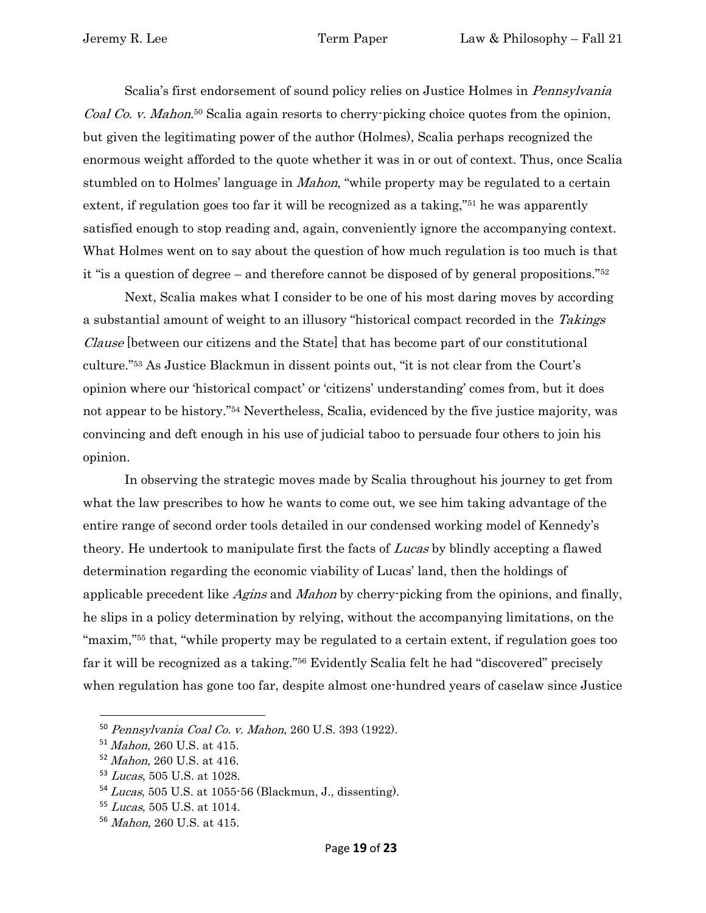Scalia's first endorsement of sound policy relies on Justice Holmes in *Pennsylvania* Coal Co. v. Mahon.<sup>50</sup> Scalia again resorts to cherry-picking choice quotes from the opinion, but given the legitimating power of the author (Holmes), Scalia perhaps recognized the enormous weight afforded to the quote whether it was in or out of context. Thus, once Scalia stumbled on to Holmes' language in *Mahon*, "while property may be regulated to a certain extent, if regulation goes too far it will be recognized as a taking,"<sup>51</sup> he was apparently satisfied enough to stop reading and, again, conveniently ignore the accompanying context. What Holmes went on to say about the question of how much regulation is too much is that it "is a question of degree – and therefore cannot be disposed of by general propositions."<sup>52</sup>

Next, Scalia makes what I consider to be one of his most daring moves by according a substantial amount of weight to an illusory "historical compact recorded in the Takings Clause [between our citizens and the State] that has become part of our constitutional culture."<sup>53</sup> As Justice Blackmun in dissent points out, "it is not clear from the Court's opinion where our 'historical compact' or 'citizens' understanding' comes from, but it does not appear to be history."<sup>54</sup> Nevertheless, Scalia, evidenced by the five justice majority, was convincing and deft enough in his use of judicial taboo to persuade four others to join his opinion.

In observing the strategic moves made by Scalia throughout his journey to get from what the law prescribes to how he wants to come out, we see him taking advantage of the entire range of second order tools detailed in our condensed working model of Kennedy's theory. He undertook to manipulate first the facts of Lucas by blindly accepting a flawed determination regarding the economic viability of Lucas' land, then the holdings of applicable precedent like Agins and Mahon by cherry-picking from the opinions, and finally, he slips in a policy determination by relying, without the accompanying limitations, on the "maxim,"<sup>55</sup> that, "while property may be regulated to a certain extent, if regulation goes too far it will be recognized as a taking."<sup>56</sup> Evidently Scalia felt he had "discovered" precisely when regulation has gone too far, despite almost one-hundred years of caselaw since Justice

<sup>50</sup> Pennsylvania Coal Co. v. Mahon, 260 U.S. 393 (1922).

<sup>51</sup> Mahon, 260 U.S. at 415.

<sup>52</sup> Mahon, 260 U.S. at 416.

<sup>53</sup> Lucas, 505 U.S. at 1028.

<sup>54</sup> Lucas, 505 U.S. at 1055-56 (Blackmun, J., dissenting).

<sup>55</sup> Lucas, 505 U.S. at 1014.

<sup>56</sup> Mahon, 260 U.S. at 415.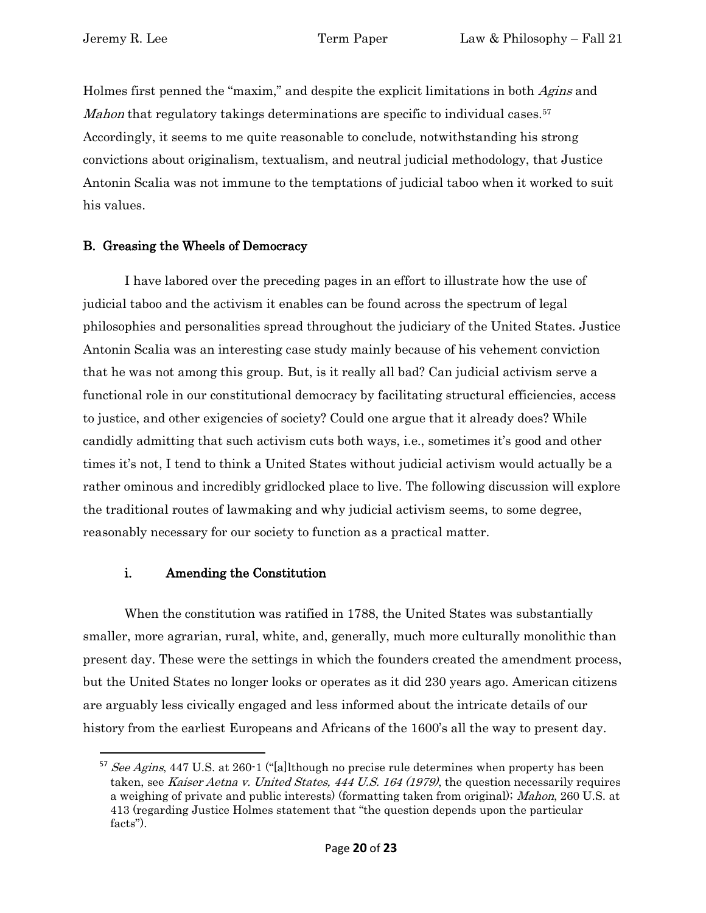Holmes first penned the "maxim," and despite the explicit limitations in both *Agins* and Mahon that regulatory takings determinations are specific to individual cases.<sup>57</sup> Accordingly, it seems to me quite reasonable to conclude, notwithstanding his strong convictions about originalism, textualism, and neutral judicial methodology, that Justice Antonin Scalia was not immune to the temptations of judicial taboo when it worked to suit his values.

### <span id="page-19-0"></span>B. Greasing the Wheels of Democracy

I have labored over the preceding pages in an effort to illustrate how the use of judicial taboo and the activism it enables can be found across the spectrum of legal philosophies and personalities spread throughout the judiciary of the United States. Justice Antonin Scalia was an interesting case study mainly because of his vehement conviction that he was not among this group. But, is it really all bad? Can judicial activism serve a functional role in our constitutional democracy by facilitating structural efficiencies, access to justice, and other exigencies of society? Could one argue that it already does? While candidly admitting that such activism cuts both ways, i.e., sometimes it's good and other times it's not, I tend to think a United States without judicial activism would actually be a rather ominous and incredibly gridlocked place to live. The following discussion will explore the traditional routes of lawmaking and why judicial activism seems, to some degree, reasonably necessary for our society to function as a practical matter.

#### i. Amending the Constitution

<span id="page-19-1"></span>When the constitution was ratified in 1788, the United States was substantially smaller, more agrarian, rural, white, and, generally, much more culturally monolithic than present day. These were the settings in which the founders created the amendment process, but the United States no longer looks or operates as it did 230 years ago. American citizens are arguably less civically engaged and less informed about the intricate details of our history from the earliest Europeans and Africans of the 1600's all the way to present day.

<sup>&</sup>lt;sup>57</sup> See Agins, 447 U.S. at 260-1 ("[a]lthough no precise rule determines when property has been taken, see *Kaiser Aetna v. United States, 444 U.S. 164 (1979)*, the question necessarily requires a weighing of private and public interests) (formatting taken from original); Mahon, 260 U.S. at 413 (regarding Justice Holmes statement that "the question depends upon the particular facts").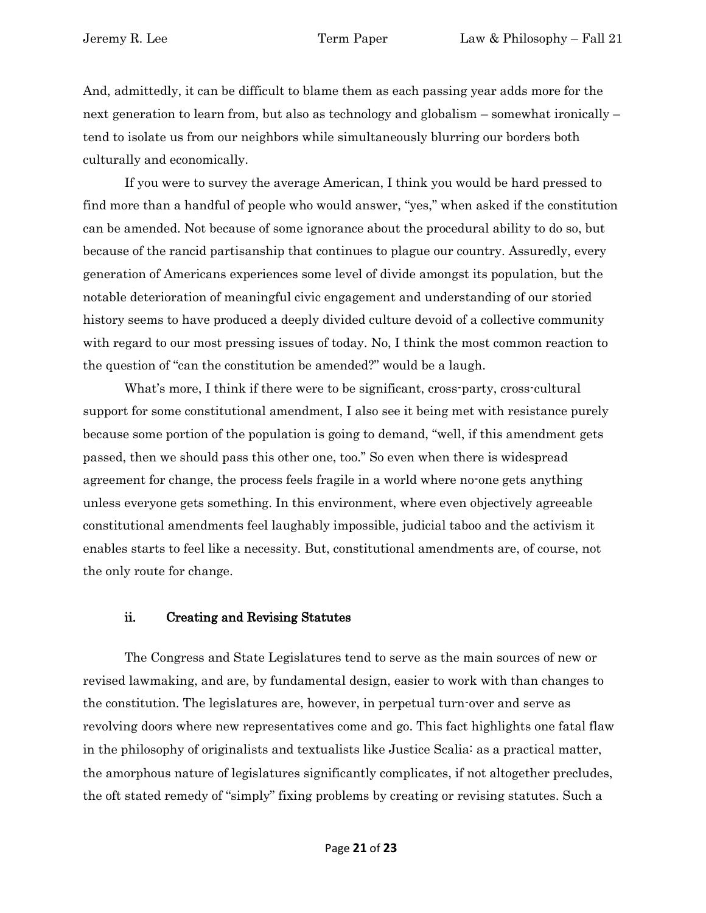And, admittedly, it can be difficult to blame them as each passing year adds more for the next generation to learn from, but also as technology and globalism – somewhat ironically – tend to isolate us from our neighbors while simultaneously blurring our borders both culturally and economically.

If you were to survey the average American, I think you would be hard pressed to find more than a handful of people who would answer, "yes," when asked if the constitution can be amended. Not because of some ignorance about the procedural ability to do so, but because of the rancid partisanship that continues to plague our country. Assuredly, every generation of Americans experiences some level of divide amongst its population, but the notable deterioration of meaningful civic engagement and understanding of our storied history seems to have produced a deeply divided culture devoid of a collective community with regard to our most pressing issues of today. No, I think the most common reaction to the question of "can the constitution be amended?" would be a laugh.

What's more, I think if there were to be significant, cross-party, cross-cultural support for some constitutional amendment, I also see it being met with resistance purely because some portion of the population is going to demand, "well, if this amendment gets passed, then we should pass this other one, too." So even when there is widespread agreement for change, the process feels fragile in a world where no-one gets anything unless everyone gets something. In this environment, where even objectively agreeable constitutional amendments feel laughably impossible, judicial taboo and the activism it enables starts to feel like a necessity. But, constitutional amendments are, of course, not the only route for change.

#### ii. Creating and Revising Statutes

<span id="page-20-0"></span>The Congress and State Legislatures tend to serve as the main sources of new or revised lawmaking, and are, by fundamental design, easier to work with than changes to the constitution. The legislatures are, however, in perpetual turn-over and serve as revolving doors where new representatives come and go. This fact highlights one fatal flaw in the philosophy of originalists and textualists like Justice Scalia: as a practical matter, the amorphous nature of legislatures significantly complicates, if not altogether precludes, the oft stated remedy of "simply" fixing problems by creating or revising statutes. Such a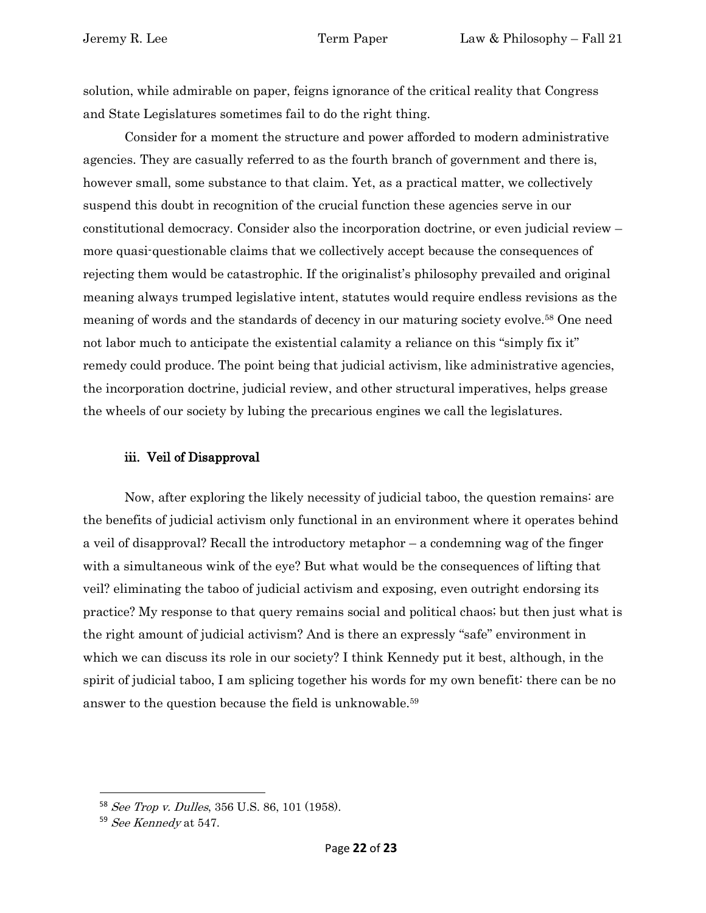solution, while admirable on paper, feigns ignorance of the critical reality that Congress and State Legislatures sometimes fail to do the right thing.

Consider for a moment the structure and power afforded to modern administrative agencies. They are casually referred to as the fourth branch of government and there is, however small, some substance to that claim. Yet, as a practical matter, we collectively suspend this doubt in recognition of the crucial function these agencies serve in our constitutional democracy. Consider also the incorporation doctrine, or even judicial review – more quasi-questionable claims that we collectively accept because the consequences of rejecting them would be catastrophic. If the originalist's philosophy prevailed and original meaning always trumped legislative intent, statutes would require endless revisions as the meaning of words and the standards of decency in our maturing society evolve.<sup>58</sup> One need not labor much to anticipate the existential calamity a reliance on this "simply fix it" remedy could produce. The point being that judicial activism, like administrative agencies, the incorporation doctrine, judicial review, and other structural imperatives, helps grease the wheels of our society by lubing the precarious engines we call the legislatures.

### iii. Veil of Disapproval

<span id="page-21-0"></span>Now, after exploring the likely necessity of judicial taboo, the question remains: are the benefits of judicial activism only functional in an environment where it operates behind a veil of disapproval? Recall the introductory metaphor – a condemning wag of the finger with a simultaneous wink of the eye? But what would be the consequences of lifting that veil? eliminating the taboo of judicial activism and exposing, even outright endorsing its practice? My response to that query remains social and political chaos; but then just what is the right amount of judicial activism? And is there an expressly "safe" environment in which we can discuss its role in our society? I think Kennedy put it best, although, in the spirit of judicial taboo, I am splicing together his words for my own benefit: there can be no answer to the question because the field is unknowable.<sup>59</sup>

<sup>58</sup> See Trop v. Dulles, 356 U.S. 86, 101 (1958).

<sup>59</sup> See Kennedy at 547.